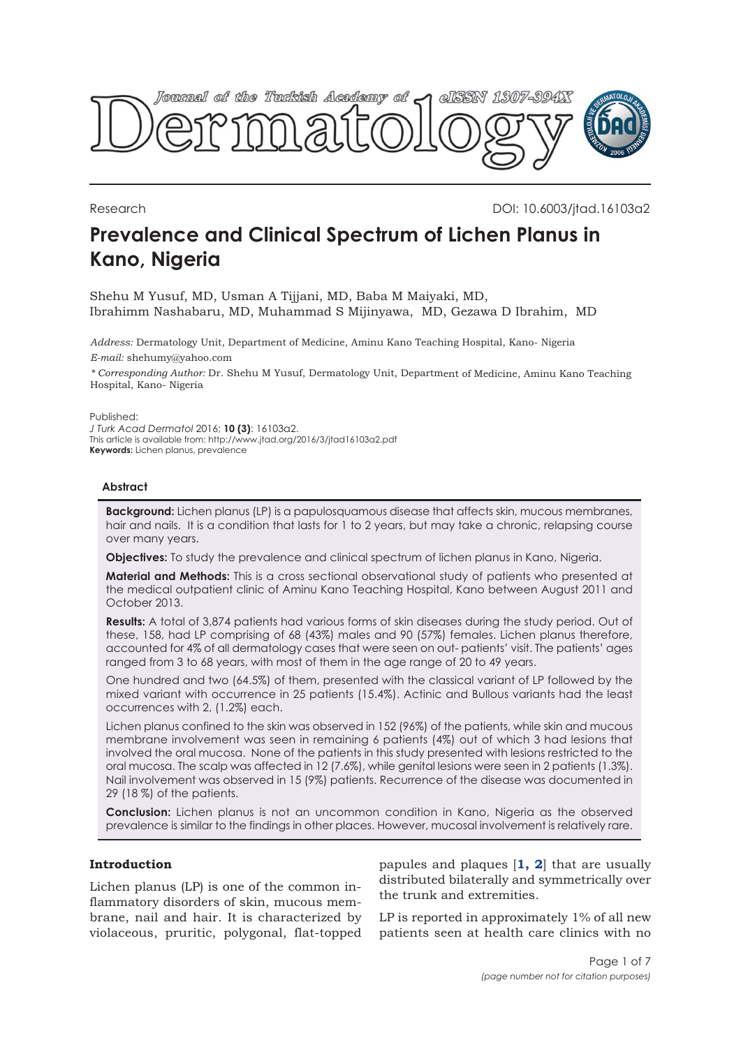

Research DOI: 10.6003/jtad.16103a2

# **Prevalence and Clinical Spectrum of Lichen Planus in Kano, Nigeria**

Shehu M Yusuf, MD, Usman A Tijjani, MD, Baba M Maiyaki, MD, Ibrahimm Nashabaru, MD, Muhammad S Mijinyawa, MD, Gezawa D Ibrahim, MD

*Address:* Dermatology Unit, Department of Medicine, Aminu Kano Teaching Hospital, Kano- Nigeria *E-mail:* shehumy@yahoo.com

*\* Corresponding Author:* Dr. Shehu M Yusuf, Dermatology Unit, Department of Medicine, Aminu Kano Teaching Hospital, Kano- Nigeria

Published:

*J Turk Acad Dermatol* 2016; **10 (3)**: 16103a2. This article is available from: http://www.jtad.org/2016/3/jtad16103a2.pdf **Keywords:** Lichen planus, prevalence

# **Abstract**

**Background:** Lichen planus (LP) is a papulosquamous disease that affects skin, mucous membranes, hair and nails. It is a condition that lasts for 1 to 2 years, but may take a chronic, relapsing course over many years.

**Objectives:** To study the prevalence and clinical spectrum of lichen planus in Kano, Nigeria.

**Material and Methods:** This is a cross sectional observational study of patients who presented at the medical outpatient clinic of Aminu Kano Teaching Hospital, Kano between August 2011 and October 2013.

**Results:** A total of 3,874 patients had various forms of skin diseases during the study period. Out of these, 158, had LP comprising of 68 (43%) males and 90 (57%) females. Lichen planus therefore, accounted for 4% of all dermatology cases that were seen on out- patients' visit. The patients' ages ranged from 3 to 68 years, with most of them in the age range of 20 to 49 years.

One hundred and two (64.5%) of them, presented with the classical variant of LP followed by the mixed variant with occurrence in 25 patients (15.4%). Actinic and Bullous variants had the least occurrences with 2, (1.2%) each.

Lichen planus confined to the skin was observed in 152 (96%) of the patients, while skin and mucous membrane involvement was seen in remaining 6 patients (4%) out of which 3 had lesions that involved the oral mucosa. None of the patients in this study presented with lesions restricted to the oral mucosa. The scalp was affected in 12 (7.6%), while genital lesions were seen in 2 patients (1.3%). Nail involvement was observed in 15 (9%) patients. Recurrence of the disease was documented in 29 (18 %) of the patients.

**Conclusion:** Lichen planus is not an uncommon condition in Kano, Nigeria as the observed prevalence is similar to the findings in other places. However, mucosal involvement is relatively rare.

# **Introduction**

Lichen planus (LP) is one of the common inflammatory disorders of skin, mucous membrane, nail and hair. It is characterized by violaceous, pruritic, polygonal, flat-topped papules and plaques [**[1,](#page-5-0) [2](#page-5-0)**] that are usually distributed bilaterally and symmetrically over the trunk and extremities.

LP is reported in approximately 1% of all new patients seen at health care clinics with no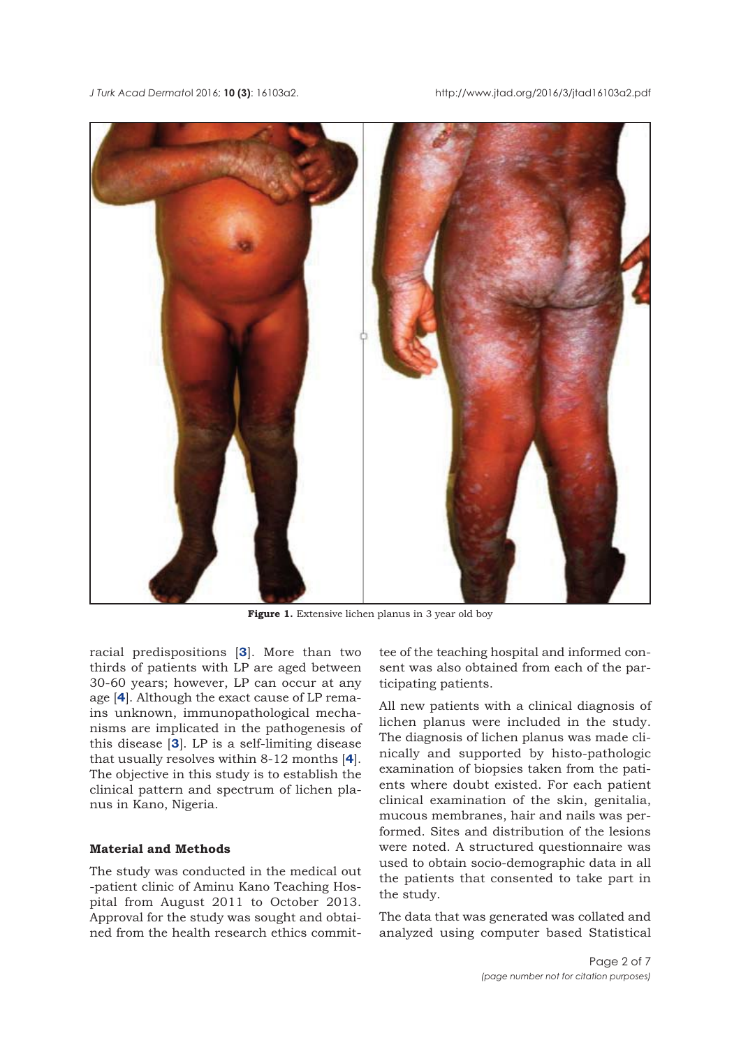<span id="page-1-0"></span>



Figure 1. Extensive lichen planus in 3 year old boy

racial predispositions [**[3](#page-5-0)**]. More than two thirds of patients with LP are aged between 30-60 years; however, LP can occur at any age [**[4](#page-5-0)**]. Although the exact cause of LP remains unknown, immunopathological mechanisms are implicated in the pathogenesis of this disease [**[3](#page-5-0)**]. LP is a self-limiting disease that usually resolves within 8-12 months [**[4](#page-5-0)**]. The objective in this study is to establish the clinical pattern and spectrum of lichen planus in Kano, Nigeria.

# **Material and Methods**

The study was conducted in the medical out -patient clinic of Aminu Kano Teaching Hospital from August 2011 to October 2013. Approval for the study was sought and obtained from the health research ethics committee of the teaching hospital and informed consent was also obtained from each of the participating patients.

All new patients with a clinical diagnosis of lichen planus were included in the study. The diagnosis of lichen planus was made clinically and supported by histo-pathologic examination of biopsies taken from the patients where doubt existed. For each patient clinical examination of the skin, genitalia, mucous membranes, hair and nails was performed. Sites and distribution of the lesions were noted. A structured questionnaire was used to obtain socio-demographic data in all the patients that consented to take part in the study.

The data that was generated was collated and analyzed using computer based Statistical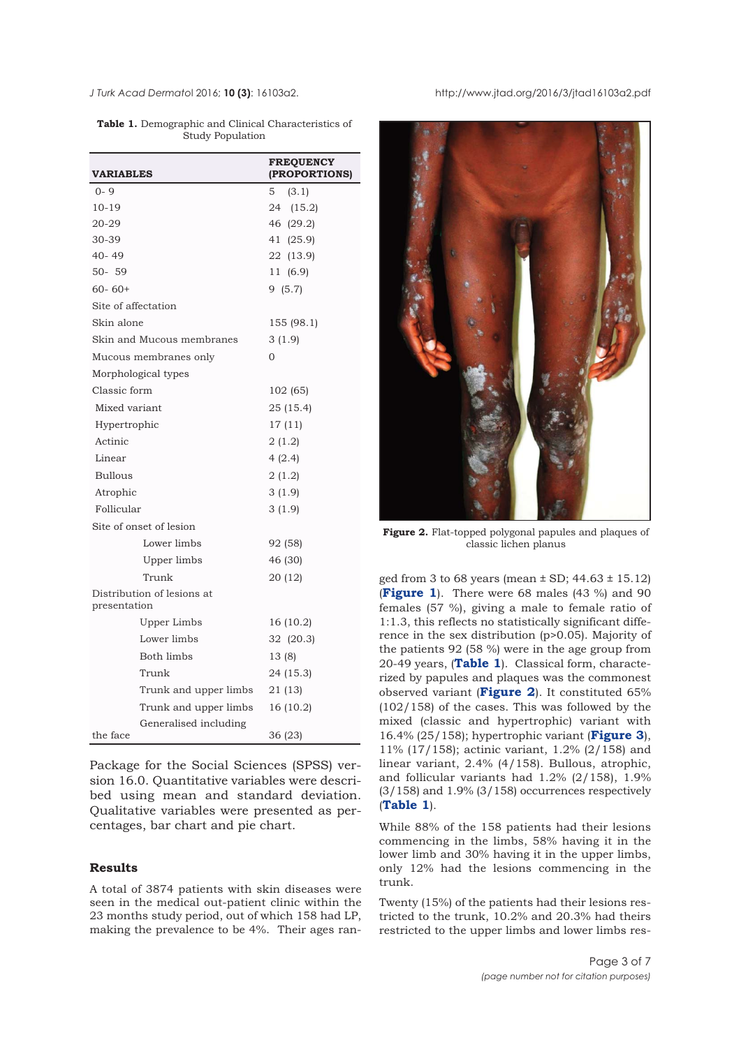|                  | <b>Table 1.</b> Demographic and Clinical Characteristics of |  |  |
|------------------|-------------------------------------------------------------|--|--|
| Study Population |                                                             |  |  |

| <b>VARIABLES</b>                           |                       | <b>FREQUENCY</b><br><b>(PROPORTIONS)</b> |  |
|--------------------------------------------|-----------------------|------------------------------------------|--|
| $0 - 9$                                    |                       | 5<br>(3.1)                               |  |
| $10 - 19$                                  |                       | 24 (15.2)                                |  |
| 20-29                                      |                       | 46 (29.2)                                |  |
| 30-39                                      |                       | 41 (25.9)                                |  |
| $40 - 49$                                  |                       | 22 (13.9)                                |  |
| 50- 59                                     |                       | 11<br>(6.9)                              |  |
| $60 - 60+$                                 |                       | 9(5.7)                                   |  |
| Site of affectation                        |                       |                                          |  |
| Skin alone                                 |                       | 155 (98.1)                               |  |
| Skin and Mucous membranes                  |                       | 3(1.9)                                   |  |
| Mucous membranes only                      |                       | $\Omega$                                 |  |
| Morphological types                        |                       |                                          |  |
| Classic form                               |                       | 102 (65)                                 |  |
| Mixed variant                              |                       | 25 (15.4)                                |  |
| Hypertrophic                               |                       | 17 (11)                                  |  |
| Actinic                                    |                       | 2 (1.2)                                  |  |
| Linear                                     |                       | 4(2.4)                                   |  |
| <b>Bullous</b>                             |                       | 2(1.2)                                   |  |
| Atrophic                                   |                       | 3(1.9)                                   |  |
| Follicular                                 |                       | 3(1.9)                                   |  |
| Site of onset of lesion                    |                       |                                          |  |
|                                            | Lower limbs           | 92 (58)                                  |  |
|                                            | Upper limbs           | 46 (30)                                  |  |
| Trunk                                      |                       | 20 (12)                                  |  |
| Distribution of lesions at<br>presentation |                       |                                          |  |
|                                            | Upper Limbs           | 16 (10.2)                                |  |
|                                            | Lower limbs           | 32 (20.3)                                |  |
|                                            | <b>Both limbs</b>     | 13 (8)                                   |  |
| Trunk                                      |                       | 24 (15.3)                                |  |
|                                            | Trunk and upper limbs | 21 (13)                                  |  |
|                                            | Trunk and upper limbs | 16 (10.2)                                |  |
|                                            | Generalised including |                                          |  |
| the face                                   |                       | 36 (23)                                  |  |

Package for the Social Sciences (SPSS) version 16.0. Quantitative variables were described using mean and standard deviation. Qualitative variables were presented as percentages, bar chart and pie chart.

### **Results**

A total of 3874 patients with skin diseases were seen in the medical out-patient clinic within the 23 months study period, out of which 158 had LP, making the prevalence to be 4%. Their ages ran-

<span id="page-2-0"></span>*J Turk Acad Dermato*l 2016; **10 (3)**: 16103a2. http://www.jtad.org/2016/3/jtad16103a2.pdf



**Figure 2.** Flat-topped polygonal papules and plaques of classic lichen planus

ged from 3 to 68 years (mean  $\pm$  SD; 44.63  $\pm$  15.12) (**[Figure 1](#page-1-0)**). There were 68 males (43 %) and 90 females (57 %), giving a male to female ratio of 1:1.3, this reflects no statistically significant difference in the sex distribution (p>0.05). Majority of the patients 92 (58 %) were in the age group from 20-49 years, (**Table 1**). Classical form, characte-Trunk 24 (15.3) Trunk 24 (15.3) rized by papules and plaques was the commonest observed variant (**Figure 2**). It constituted 65% (102/158) of the cases. This was followed by the mixed (classic and hypertrophic) variant with 16.4% (25/158); hypertrophic variant (**[Figure 3](#page-3-0)**), 11% (17/158); actinic variant, 1.2% (2/158) and linear variant, 2.4% (4/158). Bullous, atrophic, and follicular variants had 1.2% (2/158), 1.9%  $(3/158)$  and 1.9%  $(3/158)$  occurrences respectively (**Table 1**).

> While 88% of the 158 patients had their lesions commencing in the limbs, 58% having it in the lower limb and 30% having it in the upper limbs, only 12% had the lesions commencing in the trunk.

> Twenty (15%) of the patients had their lesions restricted to the trunk, 10.2% and 20.3% had theirs restricted to the upper limbs and lower limbs res-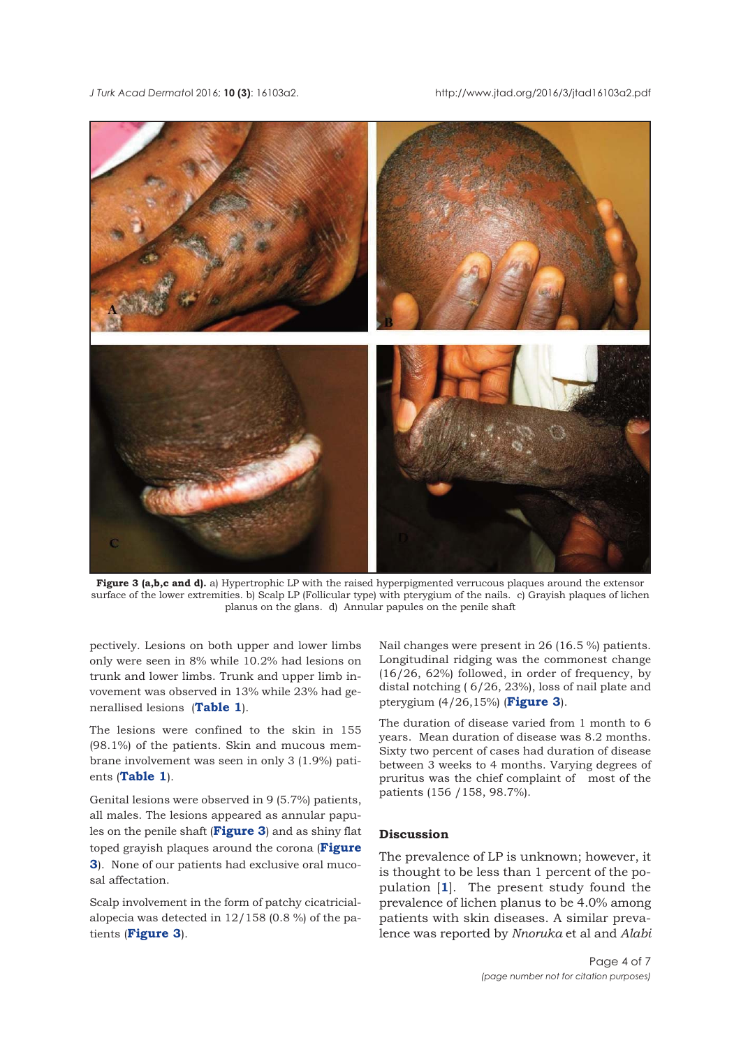<span id="page-3-0"></span>*J Turk Acad Dermato*l 2016; **10 (3)**: 16103a2. http://www.jtad.org/2016/3/jtad16103a2.pdf



**Figure 3 (a,b,c and d).** a) Hypertrophic LP with the raised hyperpigmented verrucous plaques around the extensor surface of the lower extremities. b) Scalp LP (Follicular type) with pterygium of the nails. c) Grayish plaques of lichen planus on the glans. d) Annular papules on the penile shaft

pectively. Lesions on both upper and lower limbs only were seen in 8% while 10.2% had lesions on trunk and lower limbs. Trunk and upper limb invovement was observed in 13% while 23% had generallised lesions (**[Table 1](#page-2-0)**).

The lesions were confined to the skin in 155 (98.1%) of the patients. Skin and mucous membrane involvement was seen in only 3 (1.9%) patients (**[Table 1](#page-2-0)**).

Genital lesions were observed in 9 (5.7%) patients, all males. The lesions appeared as annular papules on the penile shaft (**Figure 3**) and as shiny flat toped grayish plaques around the corona (**Figure 3**). None of our patients had exclusive oral mucosal affectation.

Scalp involvement in the form of patchy cicatricialalopecia was detected in 12/158 (0.8 %) of the patients (**Figure 3**).

Nail changes were present in 26 (16.5 %) patients. Longitudinal ridging was the commonest change (16/26, 62%) followed, in order of frequency, by distal notching ( 6/26, 23%), loss of nail plate and pterygium (4/26,15%) (**Figure 3**).

The duration of disease varied from 1 month to 6 years. Mean duration of disease was 8.2 months. Sixty two percent of cases had duration of disease between 3 weeks to 4 months. Varying degrees of pruritus was the chief complaint of most of the patients (156 /158, 98.7%).

# **Discussion**

The prevalence of LP is unknown; however, it is thought to be less than 1 percent of the population [**1**]. The present study found the prevalence of lichen planus to be 4.0% among patients with skin diseases. A similar prevalence was reported by *Nnoruka* et al and *Alabi*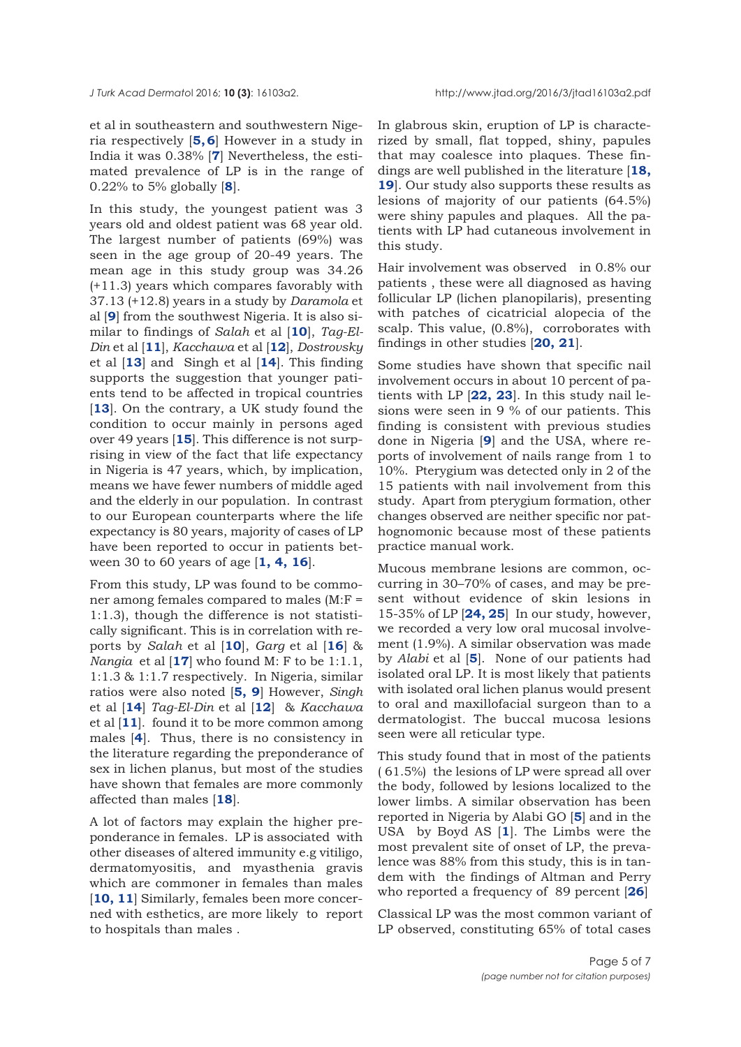et al in southeastern and southwestern Nigeria respectively [**[5, 6](#page-5-0)**] However in a study in India it was 0.38% [**[7](#page-5-0)**] Nevertheless, the estimated prevalence of LP is in the range of 0.22% to 5% globally [**[8](#page-5-0)**].

In this study, the youngest patient was 3 years old and oldest patient was 68 year old. The largest number of patients (69%) was seen in the age group of 20-49 years. The mean age in this study group was 34.26 (+11.3) years which compares favorably with 37.13 (+12.8) years in a study by *Daramola* et al [**[9](#page-5-0)**] from the southwest Nigeria. It is also similar to findings of *Salah* et al [**[10](#page-5-0)**], *Tag-El-Din* et al [**[11](#page-5-0)**], *Kacchawa* et al [**[12](#page-5-0)**], *Dostrovsky* et al [**[13](#page-5-0)**] and Singh et al [**[14](#page-5-0)**]. This finding supports the suggestion that younger patients tend to be affected in tropical countries [[13](#page-5-0)]. On the contrary, a UK study found the condition to occur mainly in persons aged over 49 years [**[15](#page-5-0)**]. This difference is not surprising in view of the fact that life expectancy in Nigeria is 47 years, which, by implication, means we have fewer numbers of middle aged and the elderly in our population. In contrast to our European counterparts where the life expectancy is 80 years, majority of cases of LP have been reported to occur in patients between 30 to 60 years of age [**[1, 4, 16](#page-5-0)**].

From this study, LP was found to be commoner among females compared to males (M:F = 1:1.3), though the difference is not statistically significant. This is in correlation with reports by *Salah* et al [**[10](#page-5-0)**], *Garg* et al [**[16](#page-5-0)**] & *Nangia* et al [**[17](#page-5-0)**] who found M: F to be 1:1.1, 1:1.3 & 1:1.7 respectively. In Nigeria, similar ratios were also noted [**[5,](#page-5-0) [9](#page-5-0)**] However, *Singh* et al [**[14](#page-5-0)**] *Tag-El-Din* et al [**[12](#page-5-0)**] & *Kacchawa* et al [**[11](#page-5-0)**]. found it to be more common among males [**[4](#page-5-0)**]. Thus, there is no consistency in the literature regarding the preponderance of sex in lichen planus, but most of the studies have shown that females are more commonly affected than males [**[18](#page-5-0)**].

A lot of factors may explain the higher preponderance in females. LP is associated with other diseases of altered immunity e.g vitiligo, dermatomyositis, and myasthenia gravis which are commoner in females than males [[10, 11](#page-5-0)] Similarly, females been more concerned with esthetics, are more likely to report to hospitals than males .

In glabrous skin, eruption of LP is characterized by small, flat topped, shiny, papules that may coalesce into plaques. These findings are well published in the literature [**[18,](#page-5-0) [19](#page-5-0)**]. Our study also supports these results as lesions of majority of our patients (64.5%) were shiny papules and plaques. All the patients with LP had cutaneous involvement in this study.

Hair involvement was observed in 0.8% our patients , these were all diagnosed as having follicular LP (lichen planopilaris), presenting with patches of cicatricial alopecia of the scalp. This value, (0.8%), corroborates with findings in other studies [**[20, 21](#page-5-0)**].

Some studies have shown that specific nail involvement occurs in about 10 percent of patients with LP [**[22,](#page-5-0) [23](#page-5-0)**]. In this study nail lesions were seen in 9 % of our patients. This finding is consistent with previous studies done in Nigeria [**[9](#page-5-0)**] and the USA, where reports of involvement of nails range from 1 to 10%. Pterygium was detected only in 2 of the 15 patients with nail involvement from this study. Apart from pterygium formation, other changes observed are neither specific nor pathognomonic because most of these patients practice manual work.

Mucous membrane lesions are common, occurring in 30–70% of cases, and may be present without evidence of skin lesions in 15-35% of LP [**[24,](#page-5-0) [25](#page-6-0)**] In our study, however, we recorded a very low oral mucosal involvement (1.9%). A similar observation was made by *Alabi* et al [**[5](#page-5-0)**]. None of our patients had isolated oral LP. It is most likely that patients with isolated oral lichen planus would present to oral and maxillofacial surgeon than to a dermatologist. The buccal mucosa lesions seen were all reticular type.

This study found that in most of the patients ( 61.5%) the lesions of LP were spread all over the body, followed by lesions localized to the lower limbs. A similar observation has been reported in Nigeria by Alabi GO [**[5](#page-5-0)**] and in the USA by Boyd AS [**[1](#page-5-0)**]. The Limbs were the most prevalent site of onset of LP, the prevalence was 88% from this study, this is in tandem with the findings of Altman and Perry who reported a frequency of 89 percent [**[26](#page-5-0)**]

Classical LP was the most common variant of LP observed, constituting 65% of total cases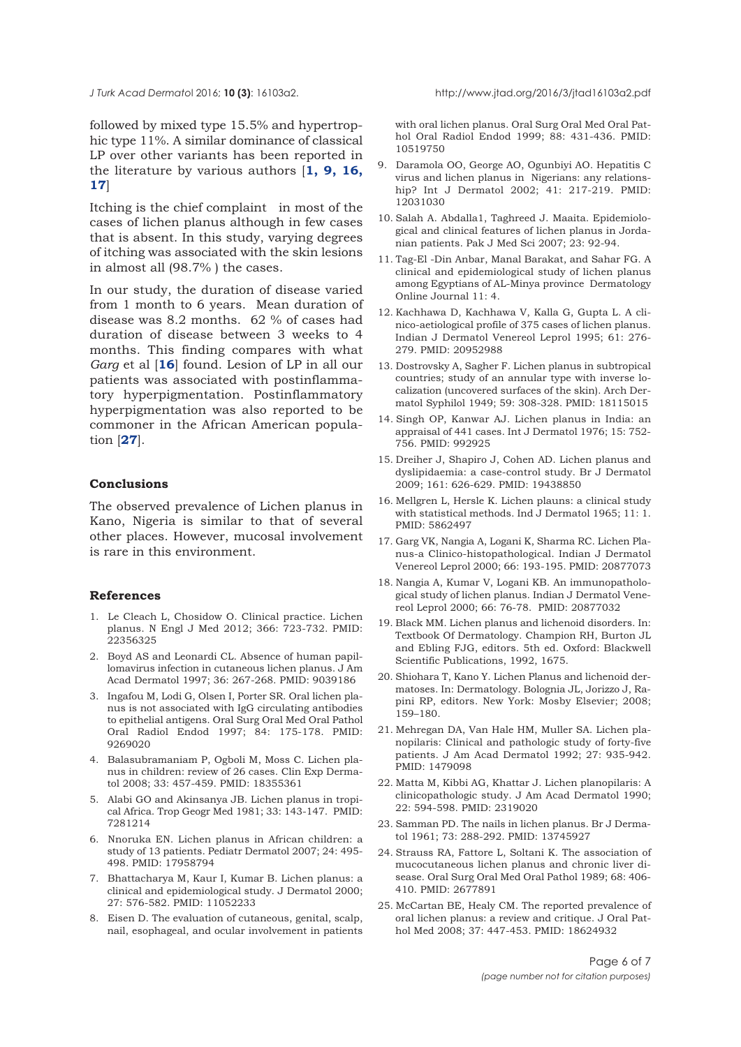<span id="page-5-0"></span>*J Turk Acad Dermato*l 2016; **10 (3)**: 16103a2. http://www.jtad.org/2016/3/jtad16103a2.pdf

followed by mixed type 15.5% and hypertrophic type 11%. A similar dominance of classical LP over other variants has been reported in the literature by various authors [**1, 9, 16, 17**]

Itching is the chief complaint in most of the cases of lichen planus although in few cases that is absent. In this study, varying degrees of itching was associated with the skin lesions in almost all (98.7% ) the cases.

In our study, the duration of disease varied from 1 month to 6 years. Mean duration of disease was 8.2 months. 62 % of cases had duration of disease between 3 weeks to 4 months. This finding compares with what *Garg* et al [**16**] found. Lesion of LP in all our patients was associated with postinflammatory hyperpigmentation. Postinflammatory hyperpigmentation was also reported to be commoner in the African American population [**[27](#page-6-0)**].

#### **Conclusions**

The observed prevalence of Lichen planus in Kano, Nigeria is similar to that of several other places. However, mucosal involvement is rare in this environment.

#### **References**

- 1. Le Cleach L, Chosidow O. Clinical practice. Lichen planus. N Engl J Med 2012; 366: 723-732. PMID: 22356325
- 2. Boyd AS and Leonardi CL. Absence of human papillomavirus infection in cutaneous lichen planus. J Am Acad Dermatol 1997; 36: 267-268. PMID: 9039186
- 3. Ingafou M, Lodi G, Olsen I, Porter SR. Oral lichen planus is not associated with IgG circulating antibodies to epithelial antigens. Oral Surg Oral Med Oral Pathol Oral Radiol Endod 1997; 84: 175-178. PMID: 9269020
- 4. Balasubramaniam P, Ogboli M, Moss C. Lichen planus in children: review of 26 cases. Clin Exp Dermatol 2008; 33: 457-459. PMID: 18355361
- 5. Alabi GO and Akinsanya JB. Lichen planus in tropical Africa. Trop Geogr Med 1981; 33: 143-147. PMID: 7281214
- 6. Nnoruka EN. Lichen planus in African children: a study of 13 patients. Pediatr Dermatol 2007; 24: 495- 498. PMID: 17958794
- 7. Bhattacharya M, Kaur I, Kumar B. Lichen planus: a clinical and epidemiological study. J Dermatol 2000; 27: 576-582. PMID: 11052233
- 8. Eisen D. The evaluation of cutaneous, genital, scalp, nail, esophageal, and ocular involvement in patients

with oral lichen planus. Oral Surg Oral Med Oral Pathol Oral Radiol Endod 1999; 88: 431-436. PMID: 10519750

- 9. Daramola OO, George AO, Ogunbiyi AO. Hepatitis C virus and lichen planus in Nigerians: any relationship? Int J Dermatol 2002; 41: 217-219. PMID: 12031030
- 10. Salah A. Abdalla1, Taghreed J. Maaita. Epidemiological and clinical features of lichen planus in Jordanian patients. Pak J Med Sci 2007; 23: 92-94.
- 11. Tag-El -Din Anbar, Manal Barakat, and Sahar FG. A clinical and epidemiological study of lichen planus among Egyptians of AL-Minya province Dermatology Online Journal 11: 4.
- 12. Kachhawa D, Kachhawa V, Kalla G, Gupta L. A clinico-aetiological profile of 375 cases of lichen planus. Indian J Dermatol Venereol Leprol 1995; 61: 276- 279. PMID: 20952988
- 13. Dostrovsky A, Sagher F. Lichen planus in subtropical countries; study of an annular type with inverse localization (uncovered surfaces of the skin). Arch Dermatol Syphilol 1949; 59: 308-328. PMID: 18115015
- 14. Singh OP, Kanwar AJ. Lichen planus in India: an appraisal of 441 cases. Int J Dermatol 1976; 15: 752- 756. PMID: 992925
- 15. Dreiher J, Shapiro J, Cohen AD. Lichen planus and dyslipidaemia: a case-control study. Br J Dermatol 2009; 161: 626-629. PMID: 19438850
- 16. Mellgren L, Hersle K. Lichen plauns: a clinical study with statistical methods. Ind J Dermatol 1965; 11: 1. PMID: 5862497
- 17. Garg VK, Nangia A, Logani K, Sharma RC. Lichen Planus-a Clinico-histopathological. Indian J Dermatol Venereol Leprol 2000; 66: 193-195. PMID: 20877073
- 18. Nangia A, Kumar V, Logani KB. An immunopathological study of lichen planus. Indian J Dermatol Venereol Leprol 2000; 66: 76-78. PMID: 20877032
- 19. Black MM. Lichen planus and lichenoid disorders. In: Textbook Of Dermatology. Champion RH, Burton JL and Ebling FJG, editors. 5th ed. Oxford: Blackwell Scientific Publications, 1992, 1675.
- 20. Shiohara T, Kano Y. Lichen Planus and lichenoid dermatoses. In: Dermatology. Bolognia JL, Jorizzo J, Rapini RP, editors. New York: Mosby Elsevier; 2008; 159–180.
- 21. Mehregan DA, Van Hale HM, Muller SA. Lichen planopilaris: Clinical and pathologic study of forty-five patients. J Am Acad Dermatol 1992; 27: 935-942. PMID: 1479098
- 22. Matta M, Kibbi AG, Khattar J. Lichen planopilaris: A clinicopathologic study. J Am Acad Dermatol 1990; 22: 594-598. PMID: 2319020
- 23. Samman PD. The nails in lichen planus. Br J Dermatol 1961; 73: 288-292. PMID: 13745927
- 24. Strauss RA, Fattore L, Soltani K. The association of mucocutaneous lichen planus and chronic liver disease. Oral Surg Oral Med Oral Pathol 1989; 68: 406- 410. PMID: 2677891
- 25. McCartan BE, Healy CM. The reported prevalence of oral lichen planus: a review and critique. J Oral Pathol Med 2008; 37: 447-453. PMID: 18624932